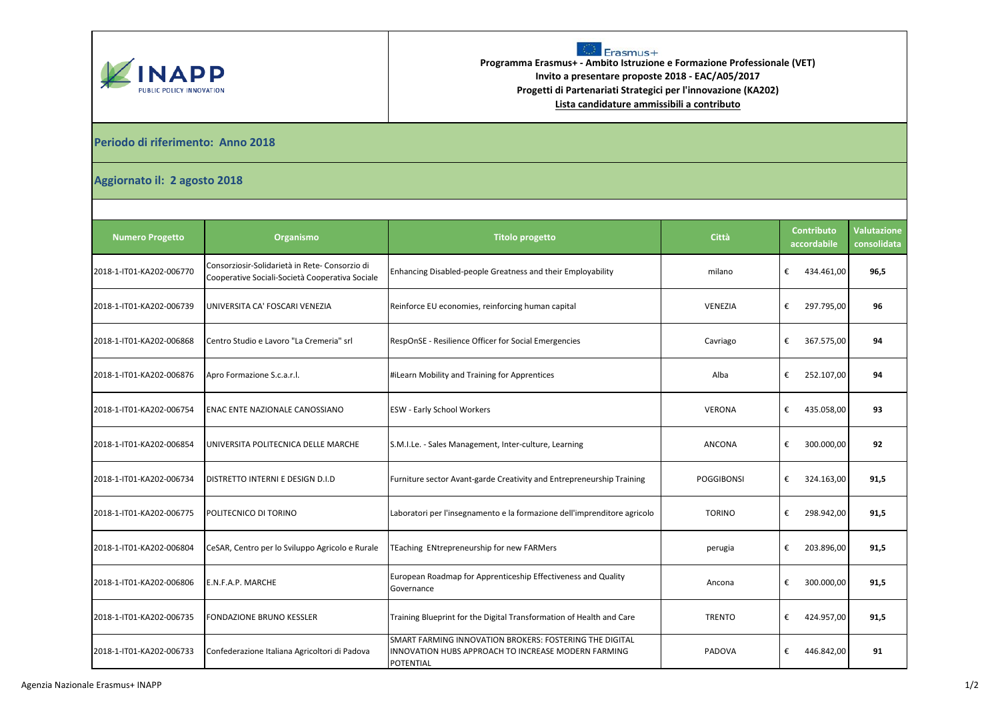



**Programma Erasmus+ - Ambito Istruzione e Formazione Professionale (VET) Invito a presentare proposte 2018 - EAC/A05/2017 Progetti di Partenariati Strategici per l'innovazione (KA202) Lista candidature ammissibili a contributo**

## **Periodo di riferimento: Anno 2018**

## **Aggiornato il: 2 agosto 2018**

| <b>Numero Progetto</b>   | Organismo                                                                                         | <b>Titolo progetto</b>                                                                                                             | Città          | <b>Contributo</b><br>accordabile | Valutazione<br>consolidata |
|--------------------------|---------------------------------------------------------------------------------------------------|------------------------------------------------------------------------------------------------------------------------------------|----------------|----------------------------------|----------------------------|
| 2018-1-IT01-KA202-006770 | Consorziosir-Solidarietà in Rete- Consorzio di<br>Cooperative Sociali-Società Cooperativa Sociale | Enhancing Disabled-people Greatness and their Employability                                                                        | milano         | €<br>434.461,00                  | 96,5                       |
| 2018-1-IT01-KA202-006739 | UNIVERSITA CA' FOSCARI VENEZIA                                                                    | Reinforce EU economies, reinforcing human capital                                                                                  | <b>VENEZIA</b> | €<br>297.795,00                  | 96                         |
| 2018-1-IT01-KA202-006868 | Centro Studio e Lavoro "La Cremeria" srl                                                          | RespOnSE - Resilience Officer for Social Emergencies                                                                               | Cavriago       | €<br>367.575,00                  | 94                         |
| 2018-1-IT01-KA202-006876 | Apro Formazione S.c.a.r.l.                                                                        | #iLearn Mobility and Training for Apprentices                                                                                      | Alba           | €<br>252.107,00                  | 94                         |
| 2018-1-IT01-KA202-006754 | ENAC ENTE NAZIONALE CANOSSIANO                                                                    | <b>ESW - Early School Workers</b>                                                                                                  | <b>VERONA</b>  | €<br>435.058,00                  | 93                         |
| 2018-1-IT01-KA202-006854 | UNIVERSITA POLITECNICA DELLE MARCHE                                                               | S.M.I.Le. - Sales Management, Inter-culture, Learning                                                                              | <b>ANCONA</b>  | €<br>300.000,00                  | 92                         |
| 2018-1-IT01-KA202-006734 | DISTRETTO INTERNI E DESIGN D.I.D                                                                  | Furniture sector Avant-garde Creativity and Entrepreneurship Training                                                              | POGGIBONSI     | €<br>324.163,00                  | 91,5                       |
| 2018-1-IT01-KA202-006775 | POLITECNICO DI TORINO                                                                             | Laboratori per l'insegnamento e la formazione dell'imprenditore agricolo                                                           | <b>TORINO</b>  | €<br>298.942,00                  | 91,5                       |
| 2018-1-IT01-KA202-006804 | CeSAR, Centro per lo Sviluppo Agricolo e Rurale                                                   | TEaching ENtrepreneurship for new FARMers                                                                                          | perugia        | €<br>203.896,00                  | 91,5                       |
| 2018-1-IT01-KA202-006806 | E.N.F.A.P. MARCHE                                                                                 | European Roadmap for Apprenticeship Effectiveness and Quality<br>Governance                                                        | Ancona         | €<br>300.000,00                  | 91,5                       |
| 2018-1-IT01-KA202-006735 | <b>FONDAZIONE BRUNO KESSLER</b>                                                                   | Training Blueprint for the Digital Transformation of Health and Care                                                               | <b>TRENTO</b>  | €<br>424.957,00                  | 91,5                       |
| 2018-1-IT01-KA202-006733 | Confederazione Italiana Agricoltori di Padova                                                     | SMART FARMING INNOVATION BROKERS: FOSTERING THE DIGITAL<br>INNOVATION HUBS APPROACH TO INCREASE MODERN FARMING<br><b>POTENTIAL</b> | PADOVA         | €<br>446.842,00                  | 91                         |